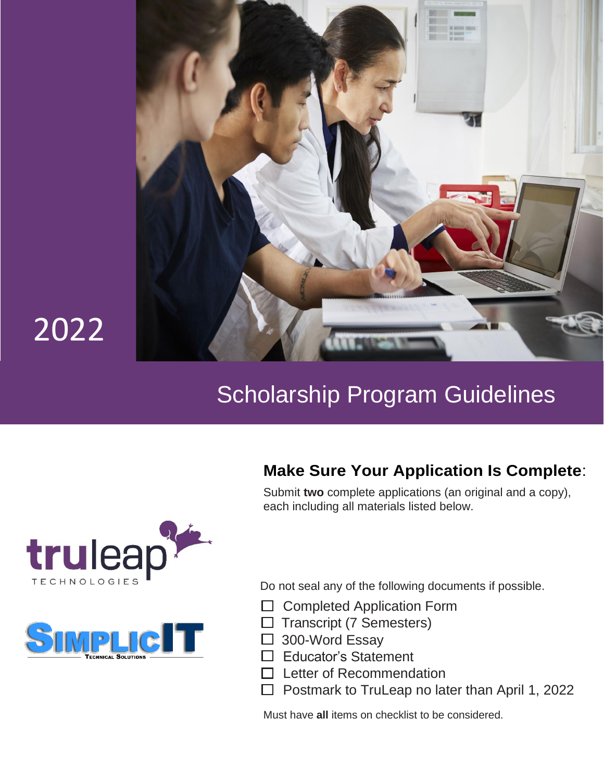

# 2022

## Scholarship Program Guidelines

## **Make Sure Your Application Is Complete**:

Submit **two** complete applications (an original and a copy), each including all materials listed below.





Do not seal any of the following documents if possible.

- $\Box$  Completed Application Form
- $\Box$  Transcript (7 Semesters)
- □ 300-Word Essay
- $\Box$  Educator's Statement
- $\Box$  Letter of Recommendation
- $\Box$  Postmark to TruLeap no later than April 1, 2022

Must have **all** items on checklist to be considered.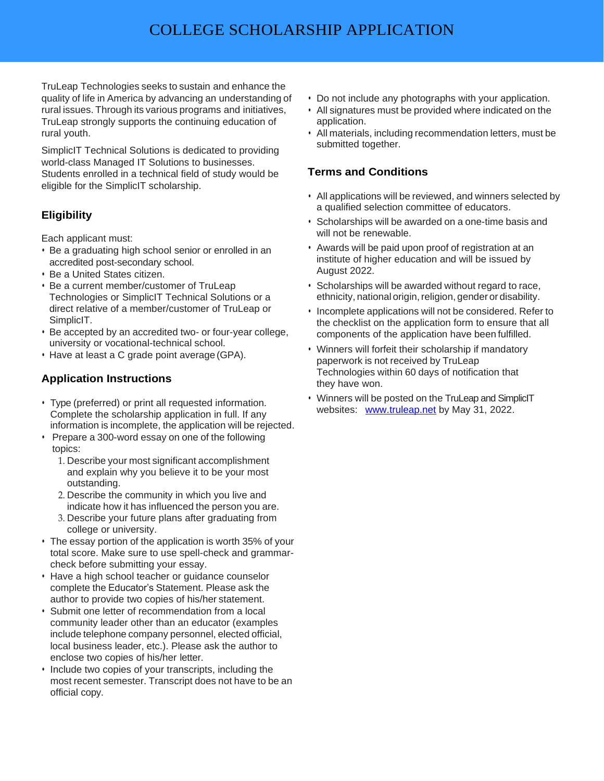TruLeap Technologies seeks to sustain and enhance the quality of life in America by advancing an understanding of rural issues. Through its various programs and initiatives, TruLeap strongly supports the continuing education of rural youth.

SimplicIT Technical Solutions is dedicated to providing world-class Managed IT Solutions to businesses. Students enrolled in a technical field of study would be eligible for the SimplicIT scholarship.

## **Eligibility**

Each applicant must:

- Be a graduating high school senior or enrolled in an accredited post-secondary school.
- Be a United States citizen.
- Be a current member/customer of TruLeap Technologies or SimplicIT Technical Solutions or a direct relative of a member/customer of TruLeap or SimplicIT.
- Be accepted by an accredited two- or four-year college, university or vocational-technical school.
- Have at least a C grade point average (GPA).

## **Application Instructions**

- Type (preferred) or print all requested information. Complete the scholarship application in full. If any information is incomplete, the application will be rejected.
- Prepare a 300-word essay on one of the following topics:
	- 1. Describe your most significant accomplishment and explain why you believe it to be your most outstanding.
	- 2. Describe the community in which you live and indicate how it has influenced the person you are.
	- 3. Describe your future plans after graduating from college or university.
- The essay portion of the application is worth 35% of your total score. Make sure to use spell-check and grammarcheck before submitting your essay.
- Have a high school teacher or guidance counselor complete the Educator's Statement. Please ask the author to provide two copies of his/her statement.
- Submit one letter of recommendation from a local community leader other than an educator (examples include telephone company personnel, elected official, local business leader, etc.). Please ask the author to enclose two copies of his/her letter.
- Include two copies of your transcripts, including the most recent semester. Transcript does not have to be an official copy.
- Do not include any photographs with your application.
- All signatures must be provided where indicated on the application.
- All materials, including recommendation letters, must be submitted together.

## **Terms and Conditions**

- All applications will be reviewed, and winners selected by a qualified selection committee of educators.
- Scholarships will be awarded on a one-time basis and will not be renewable.
- Awards will be paid upon proof of registration at an institute of higher education and will be issued by August 2022.
- Scholarships will be awarded without regard to race, ethnicity, national origin, religion, gender or disability.
- Incomplete applications will not be considered. Refer to the checklist on the application form to ensure that all components of the application have been fulfilled.
- Winners will forfeit their scholarship if mandatory paperwork is not received by TruLeap Technologies within 60 days of notification that they have won.
- Winners will be posted on the TruLeap and SimplicIT websites: [www.truleap.net](http://www.truleap.net/) by May 31, 2022.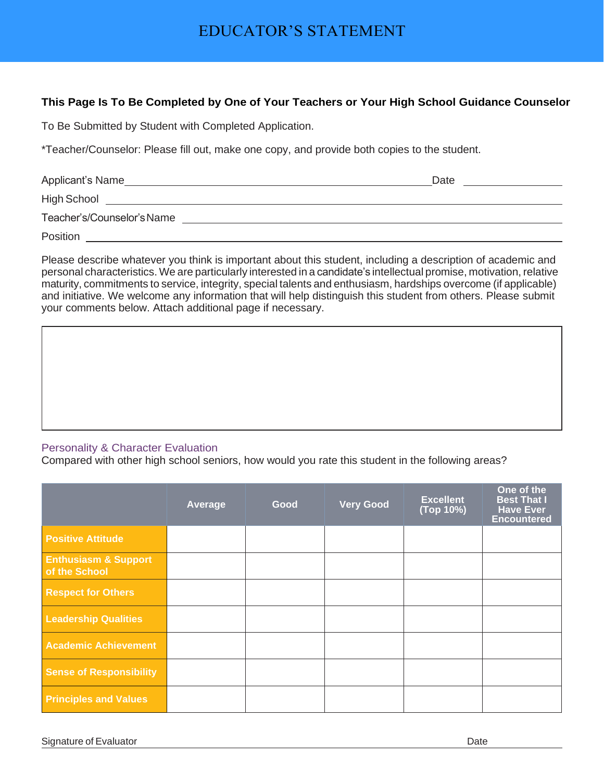## EDUCATOR'S STATEMENT

### **This Page Is To Be Completed by One of Your Teachers or Your High School Guidance Counselor**

To Be Submitted by Student with Completed Application.

\*Teacher/Counselor: Please fill out, make one copy, and provide both copies to the student.

| Applicant's Name           | Date |
|----------------------------|------|
| High School                |      |
| Teacher's/Counselor's Name |      |
| Position                   |      |

Please describe whatever you think is important about this student, including a description of academic and personal characteristics. We are particularly interested in a candidate's intellectual promise, motivation, relative maturity, commitments to service, integrity, special talents and enthusiasm, hardships overcome (if applicable) and initiative. We welcome any information that will help distinguish this student from others. Please submit your comments below. Attach additional page if necessary.

### Personality & Character Evaluation

Compared with other high school seniors, how would you rate this student in the following areas?

|                                                  | Average | Good | <b>Very Good</b> | <b>Excellent</b><br>(Top 10%) | One of the<br><b>Best That I</b><br><b>Have Ever</b><br><b>Encountered</b> |
|--------------------------------------------------|---------|------|------------------|-------------------------------|----------------------------------------------------------------------------|
| <b>Positive Attitude</b>                         |         |      |                  |                               |                                                                            |
| <b>Enthusiasm &amp; Support</b><br>of the School |         |      |                  |                               |                                                                            |
| <b>Respect for Others</b>                        |         |      |                  |                               |                                                                            |
| <b>Leadership Qualities</b>                      |         |      |                  |                               |                                                                            |
| <b>Academic Achievement</b>                      |         |      |                  |                               |                                                                            |
| <b>Sense of Responsibility</b>                   |         |      |                  |                               |                                                                            |
| <b>Principles and Values</b>                     |         |      |                  |                               |                                                                            |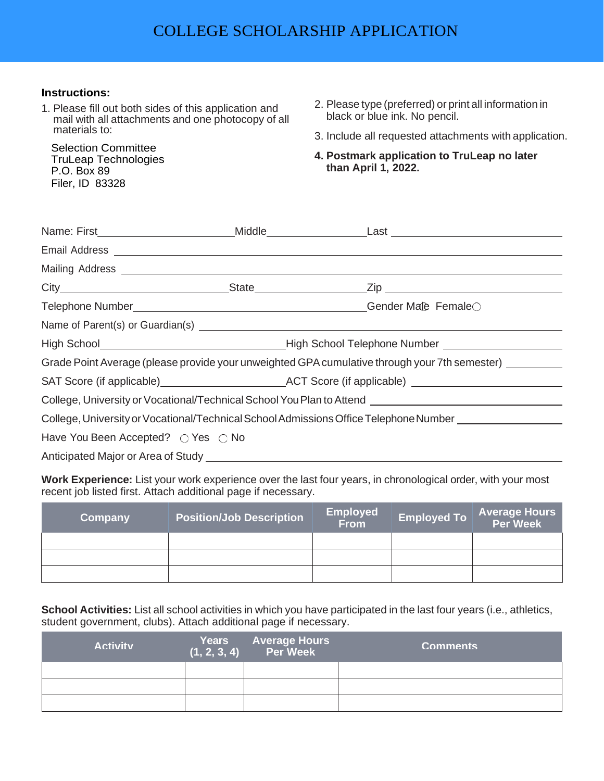### **Instructions:**

1. Please fill out both sides of this application and mail with all attachments and one photocopy of all materials to:

Selection Committee TruLeap Technologies P.O. Box 89 Filer, ID 83328

- 2. Please type (preferred) or print all information in black or blue ink. No pencil.
- 3. Include all requested attachments with application.
- **4. Postmark application to TruLeap no later than April 1, 2022.**

|                                    | Mailing Address <b>Mailing Address Mailing Address Mailing Address Mailing Address</b>                                                                        |  |
|------------------------------------|---------------------------------------------------------------------------------------------------------------------------------------------------------------|--|
|                                    |                                                                                                                                                               |  |
|                                    |                                                                                                                                                               |  |
|                                    |                                                                                                                                                               |  |
|                                    |                                                                                                                                                               |  |
|                                    | Grade Point Average (please provide your unweighted GPA cumulative through your 7th semester) ______                                                          |  |
|                                    | SAT Score (if applicable) ACT Score (if applicable) ACT Score (if applicable)                                                                                 |  |
|                                    | College, University or Vocational/Technical School You Plan to Attend [100] [100] [100] College, University or Vocational/Technical School You Plan to Attend |  |
|                                    | College, University or Vocational/Technical School Admissions Office Telephone Number                                                                         |  |
| Have You Been Accepted? ○ Yes ○ No |                                                                                                                                                               |  |
|                                    |                                                                                                                                                               |  |

**Work Experience:** List your work experience over the last four years, in chronological order, with your most recent job listed first. Attach additional page if necessary.

| Company | <b>Position/Job Description</b> | <b>Employed</b><br><b>From</b> | <b>Employed To</b> | <b>Average Hours<br/>Per Week</b> |
|---------|---------------------------------|--------------------------------|--------------------|-----------------------------------|
|         |                                 |                                |                    |                                   |
|         |                                 |                                |                    |                                   |
|         |                                 |                                |                    |                                   |

**School Activities:** List all school activities in which you have participated in the last four years (i.e., athletics, student government, clubs). Attach additional page if necessary.

| <b>Activity</b> | Years Average Hours<br>(1, 2, 3, 4) Per Week | <b>Comments</b> |
|-----------------|----------------------------------------------|-----------------|
|                 |                                              |                 |
|                 |                                              |                 |
|                 |                                              |                 |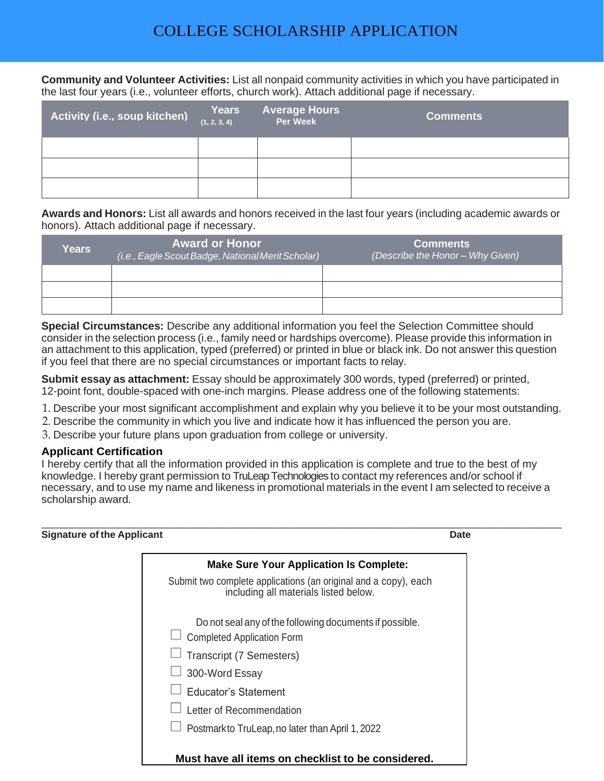## COLLEGE SCHOLARSHIP APPLICATION

**Community and Volunteer Activities:** List all nonpaid community activities in which you have participated in the last four years (i.e., volunteer efforts, church work). Attach additional page if necessary.

| Activity (i.e., soup kitchen) | Years<br>(1, 2, 3, 4) | <b>Average Hours</b><br><b>Per Week</b> | <b>Comments</b> |
|-------------------------------|-----------------------|-----------------------------------------|-----------------|
|                               |                       |                                         |                 |
|                               |                       |                                         |                 |
|                               |                       |                                         |                 |

**Awards and Honors:** List all awards and honors received in the last four years (including academic awards or honors). Attach additional page if necessary.

| Years | <b>Award or Honor</b><br>(i.e., Eagle Scout Badge, National Merit Scholar) | <b>Comments</b><br>(Describe the Honor – Why Given) |
|-------|----------------------------------------------------------------------------|-----------------------------------------------------|
|       |                                                                            |                                                     |
|       |                                                                            |                                                     |
|       |                                                                            |                                                     |

**Special Circumstances:** Describe any additional information you feel the Selection Committee should consider in the selection process (i.e., family need or hardships overcome). Please provide this information in an attachment to this application, typed (preferred) or printed in blue or black ink. Do not answer this question if you feel that there are no special circumstances or important facts to relay.

**Submit essay as attachment:** Essay should be approximately 300 words, typed (preferred) or printed, 12-point font, double-spaced with one-inch margins. Please address one of the following statements:

- 1. Describe your most significant accomplishment and explain why you believe it to be your most outstanding.
- 2. Describe the community in which you live and indicate how it has influenced the person you are.
- 3. Describe your future plans upon graduation from college or university.

#### **Applicant Certification**

I hereby certify that all the information provided in this application is complete and true to the best of my knowledge. I hereby grant permission to TruLeap Technologies to contact my references and/or school if necessary, and to use my name and likeness in promotional materials in the event I am selected to receive a scholarship award.

| <b>Signature of the Applicant</b> |                                                                                                          | Date |
|-----------------------------------|----------------------------------------------------------------------------------------------------------|------|
|                                   | <b>Make Sure Your Application Is Complete:</b>                                                           |      |
|                                   | Submit two complete applications (an original and a copy), each<br>including all materials listed below. |      |
|                                   | Do not seal any of the following documents if possible.<br><b>Completed Application Form</b>             |      |
|                                   | Transcript (7 Semesters)                                                                                 |      |
|                                   | 300-Word Essay                                                                                           |      |
|                                   | <b>Educator's Statement</b>                                                                              |      |
|                                   | Letter of Recommendation                                                                                 |      |
|                                   | Postmarkto TruLeap, no later than April 1, 2022                                                          |      |
|                                   | Must have all items on checklist to be considered.                                                       |      |